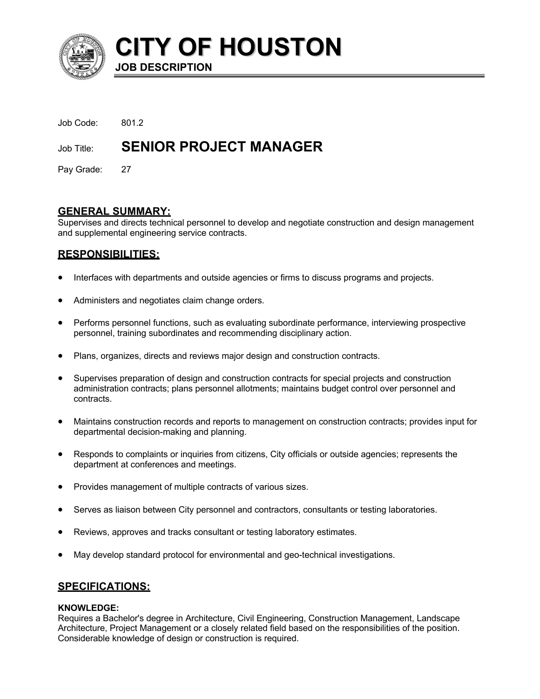

**CITY OF HOUSTON JOB DESCRIPTION**

| Job Code:  | 801.2                         |
|------------|-------------------------------|
| Job Title: | <b>SENIOR PROJECT MANAGER</b> |

Pay Grade: 27

# **GENERAL SUMMARY:**

Supervises and directs technical personnel to develop and negotiate construction and design management and supplemental engineering service contracts.

# **RESPONSIBILITIES:**

- Interfaces with departments and outside agencies or firms to discuss programs and projects.
- Administers and negotiates claim change orders.
- Performs personnel functions, such as evaluating subordinate performance, interviewing prospective personnel, training subordinates and recommending disciplinary action.
- Plans, organizes, directs and reviews major design and construction contracts.
- Supervises preparation of design and construction contracts for special projects and construction administration contracts; plans personnel allotments; maintains budget control over personnel and contracts.
- Maintains construction records and reports to management on construction contracts; provides input for departmental decision-making and planning.
- Responds to complaints or inquiries from citizens, City officials or outside agencies; represents the department at conferences and meetings.
- Provides management of multiple contracts of various sizes.
- Serves as liaison between City personnel and contractors, consultants or testing laboratories.
- Reviews, approves and tracks consultant or testing laboratory estimates.
- May develop standard protocol for environmental and geo-technical investigations.

# **SPECIFICATIONS:**

#### **KNOWLEDGE:**

Requires a Bachelor's degree in Architecture, Civil Engineering, Construction Management, Landscape Architecture, Project Management or a closely related field based on the responsibilities of the position. Considerable knowledge of design or construction is required.